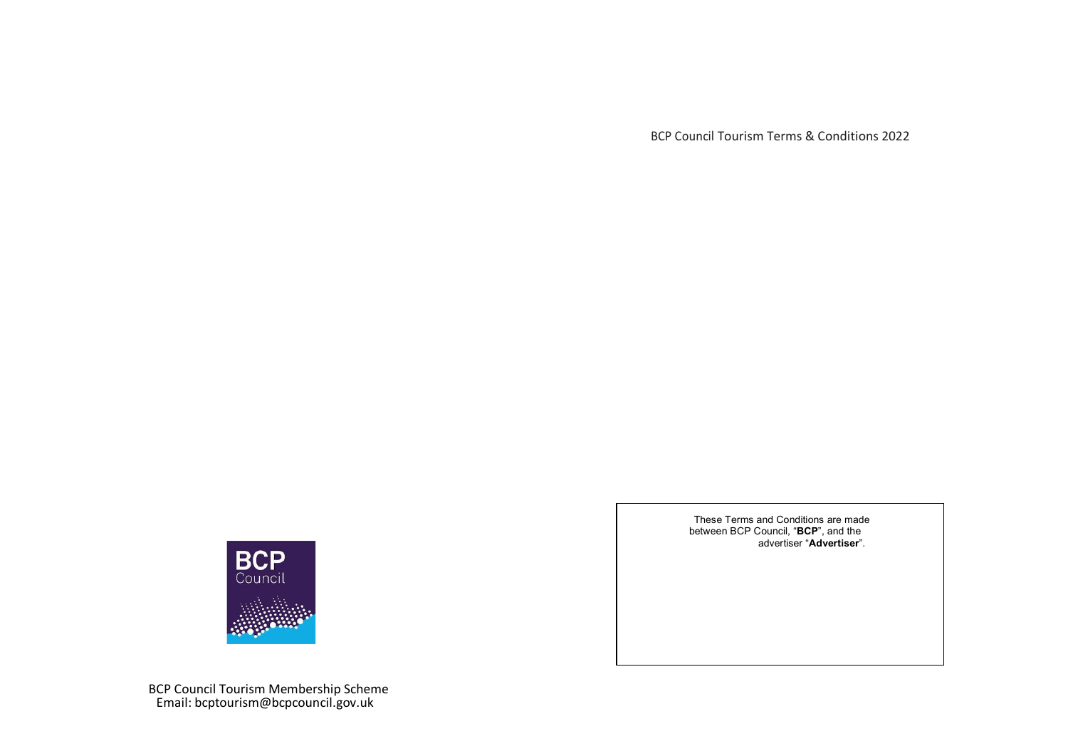BCP Council Tourism Terms & Conditions 2022



BCP Council Tourism Membership Scheme Email: bcptourism@bcpcouncil.gov.uk

These Terms and Conditions are made between BCP Council, "**BCP**", and the advertiser "**Advertiser**".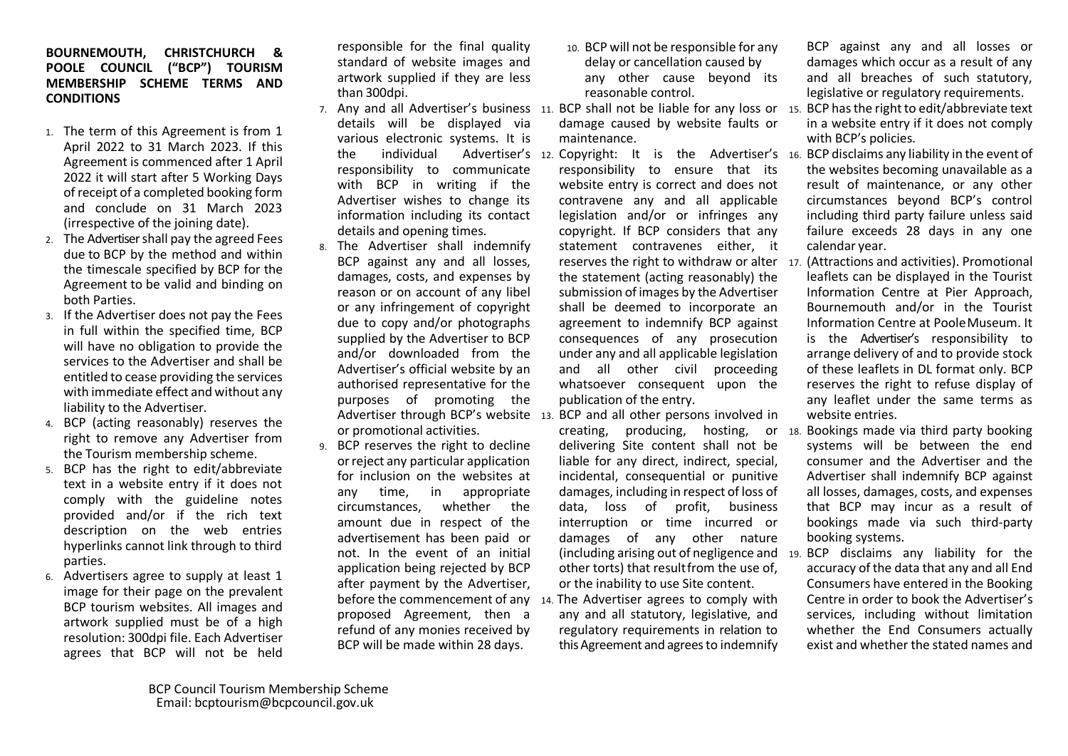## **BOURNEMOUTH, CHRISTCHURCH & POOLE COUNCIL ("BCP") TOURISM MEMBERSHIP SCHEME TERMS AND CONDITIONS**

- 1. The term of this Agreement is from 1 April 2022 to 31 March 2023. If this Agreement is commenced after 1 April 2022 it will start after 5 Working Days of receipt of a completed booking form and conclude on 31 March 2023 (irrespective of the joining date).
- 2. The Advertiser shall pay the agreed Fees due to BCP by the method and within the timescale specified by BCP for the Agreement to be valid and binding on both Parties.
- 3. If the Advertiser does not pay the Fees in full within the specified time, BCP will have no obligation to provide the services to the Advertiser and shall be entitled to cease providing the services with immediate effect and without any liability to the Advertiser.
- 4. BCP (acting reasonably) reserves the right to remove any Advertiser from the Tourism membership scheme.
- 5. BCP has the right to edit/abbreviate text in a website entry if it does not comply with the guideline notes provided and/or if the rich text description on the web entries hyperlinks cannot link through to third parties.
- 6. Advertisers agree to supply at least 1 image for their page on the prevalent BCP tourism websites. All images and artwork supplied must be of a high resolution: 300dpi file. Each Advertiser agrees that BCP will not be held

responsible for the final quality standard of website images and artwork supplied if they are less than 300dpi.

- details will be displayed via various electronic systems. It is responsibility to communicate with BCP in writing if the Advertiser wishes to change its information including its contact details and opening times.
- 8. The Advertiser shall indemnify BCP against any and all losses, damages, costs, and expenses by reason or on account of any libel or any infringement of copyright due to copy and/or photographs supplied by the Advertiser to BCP and/or downloaded from the Advertiser's official website by an authorised representative for the purposes of promoting the or promotional activities.
- 9. BCP reserves the right to decline orreject any particular application for inclusion on the websites at any time, in appropriate circumstances, whether the amount due in respect of the advertisement has been paid or not. In the event of an initial application being rejected by BCP after payment by the Advertiser, proposed Agreement, then a refund of any monies received by BCP will be made within 28 days.
- 10. BCP will not be responsible for any delay or cancellation caused by any other cause beyond its reasonable control.
- 7. Any and all Advertiser's business 11. BCP shall not be liable for any loss or 15. BCP has the right to edit/abbreviate text damage caused by website faults or maintenance.
	- the individual Advertiser's 12. Copyright: It is the Advertiser's 16. BCP disclaims any liability in the event of responsibility to ensure that its website entry is correct and does not contravene any and all applicable legislation and/or or infringes any copyright. If BCP considers that any statement contravenes either, it the statement (acting reasonably) the submission of images by the Advertiser shall be deemed to incorporate an agreement to indemnify BCP against consequences of any prosecution under any and all applicable legislation and all other civil proceeding whatsoever consequent upon the publication of the entry.
	- Advertiser through BCP's website 13. BCP and all other persons involved in delivering Site content shall not be liable for any direct, indirect, special, incidental, consequential or punitive damages, including in respect of loss of data, loss of profit, business interruption or time incurred or damages of any other nature other torts) that resultfrom the use of, or the inability to use Site content.
	- before the commencement of any 14. The Advertiser agrees to comply with any and all statutory, legislative, and regulatory requirements in relation to this Agreement and agreesto indemnify

BCP against any and all losses or damages which occur as a result of any and all breaches of such statutory, legislative or regulatory requirements.

- in a website entry if it does not comply with BCP's policies.
- the websites becoming unavailable as a result of maintenance, or any other circumstances beyond BCP's control including third party failure unless said failure exceeds 28 days in any one calendar year.
- reserves the right to withdraw or alter 17. (Attractions and activities). Promotional leaflets can be displayed in the Tourist Information Centre at Pier Approach, Bournemouth and/or in the Tourist Information Centre at PooleMuseum. It is the Advertiser's responsibility to arrange delivery of and to provide stock of these leaflets in DL format only. BCP reserves the right to refuse display of any leaflet under the same terms as website entries.
- creating, producing, hosting, or 18. Bookings made via third party booking systems will be between the end consumer and the Advertiser and the Advertiser shall indemnify BCP against all losses, damages, costs, and expenses that BCP may incur as a result of bookings made via such third-party booking systems.
- (including arising out of negligence and 19. BCP disclaims any liability for the accuracy of the data that any and all End Consumers have entered in the Booking Centre in order to book the Advertiser's services, including without limitation whether the End Consumers actually exist and whether the stated names and